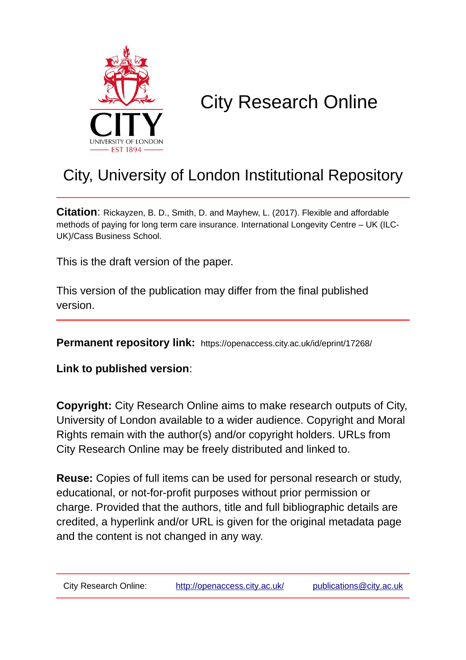

## City Research Online

## City, University of London Institutional Repository

**Citation**: Rickayzen, B. D., Smith, D. and Mayhew, L. (2017). Flexible and affordable methods of paying for long term care insurance. International Longevity Centre – UK (ILC-UK)/Cass Business School.

This is the draft version of the paper.

This version of the publication may differ from the final published version.

**Permanent repository link:** https://openaccess.city.ac.uk/id/eprint/17268/

**Link to published version**:

**Copyright:** City Research Online aims to make research outputs of City, University of London available to a wider audience. Copyright and Moral Rights remain with the author(s) and/or copyright holders. URLs from City Research Online may be freely distributed and linked to.

**Reuse:** Copies of full items can be used for personal research or study, educational, or not-for-profit purposes without prior permission or charge. Provided that the authors, title and full bibliographic details are credited, a hyperlink and/or URL is given for the original metadata page and the content is not changed in any way.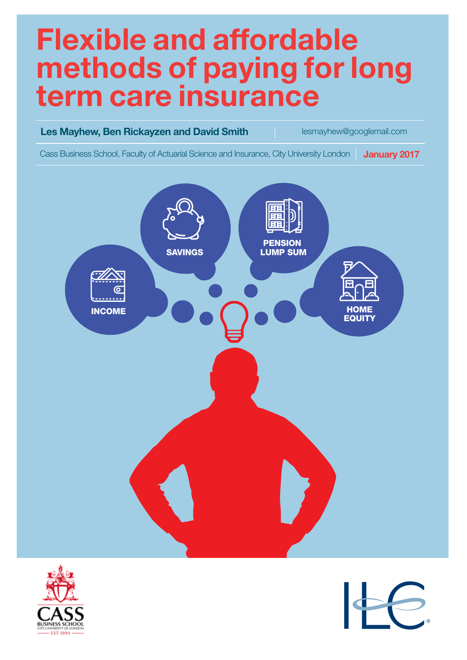# **Flexible and affordable methods of paying for long term care insurance**





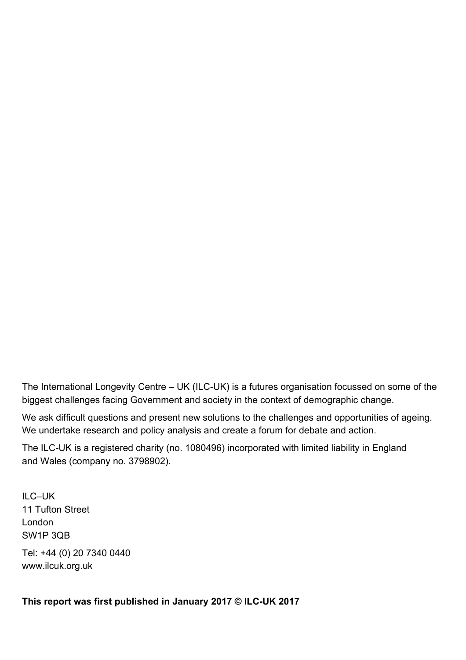The International Longevity Centre – UK (ILC-UK) is a futures organisation focussed on some of the biggest challenges facing Government and society in the context of demographic change.

We ask difficult questions and present new solutions to the challenges and opportunities of ageing. We undertake research and policy analysis and create a forum for debate and action.

The ILC-UK is a registered charity (no. 1080496) incorporated with limited liability in England and Wales (company no. 3798902).

ILC–UK 11 Tufton Street London SW1P 3QB

Tel: +44 (0) 20 7340 0440 www.ilcuk.org.uk

**This report was first published in January 2017 © ILC-UK 2017**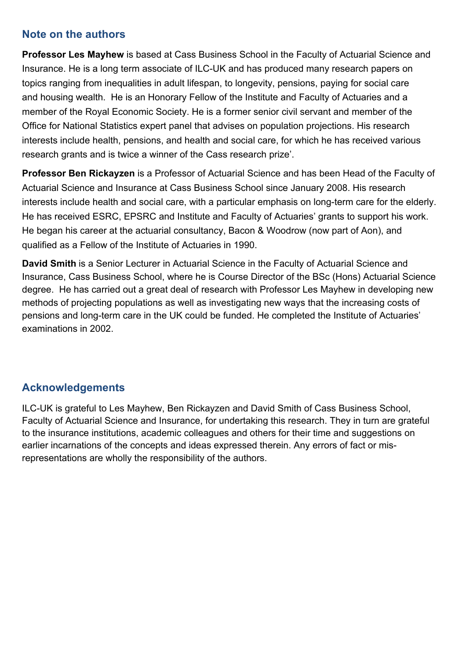#### **Note on the authors**

**Professor Les Mayhew** is based at Cass Business School in the Faculty of Actuarial Science and Insurance. He is a long term associate of ILC-UK and has produced many research papers on topics ranging from inequalities in adult lifespan, to longevity, pensions, paying for social care and housing wealth. He is an Honorary Fellow of the Institute and Faculty of Actuaries and a member of the Royal Economic Society. He is a former senior civil servant and member of the Office for National Statistics expert panel that advises on population projections. His research interests include health, pensions, and health and social care, for which he has received various research grants and is twice a winner of the Cass research prize'.

**Professor Ben Rickayzen** is a Professor of Actuarial Science and has been Head of the Faculty of Actuarial Science and Insurance at Cass Business School since January 2008. His research interests include health and social care, with a particular emphasis on long-term care for the elderly. He has received ESRC, EPSRC and Institute and Faculty of Actuaries' grants to support his work. He began his career at the actuarial consultancy, Bacon & Woodrow (now part of Aon), and qualified as a Fellow of the Institute of Actuaries in 1990.

**David Smith** is a Senior Lecturer in Actuarial Science in the Faculty of Actuarial Science and Insurance, Cass Business School, where he is Course Director of the BSc (Hons) Actuarial Science degree. He has carried out a great deal of research with Professor Les Mayhew in developing new methods of projecting populations as well as investigating new ways that the increasing costs of pensions and long-term care in the UK could be funded. He completed the Institute of Actuaries' examinations in 2002.

#### **Acknowledgements**

ILC-UK is grateful to Les Mayhew, Ben Rickayzen and David Smith of Cass Business School, Faculty of Actuarial Science and Insurance, for undertaking this research. They in turn are grateful to the insurance institutions, academic colleagues and others for their time and suggestions on earlier incarnations of the concepts and ideas expressed therein. Any errors of fact or misrepresentations are wholly the responsibility of the authors.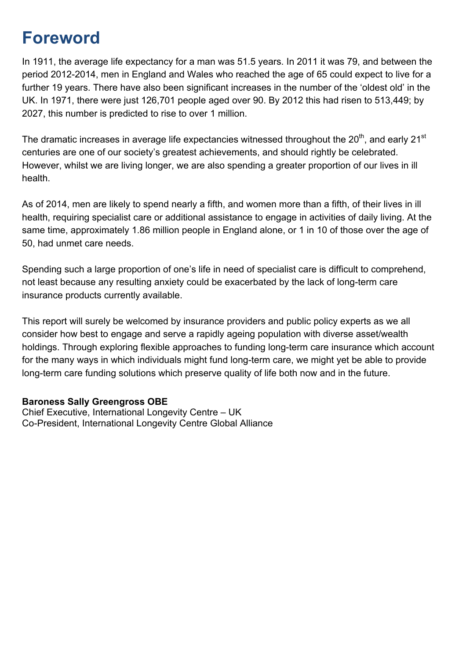## **Foreword**

In 1911, the average life expectancy for a man was 51.5 years. In 2011 it was 79, and between the period 2012-2014, men in England and Wales who reached the age of 65 could expect to live for a further 19 years. There have also been significant increases in the number of the 'oldest old' in the UK. In 1971, there were just 126,701 people aged over 90. By 2012 this had risen to 513,449; by 2027, this number is predicted to rise to over 1 million.

The dramatic increases in average life expectancies witnessed throughout the 20<sup>th</sup>, and early 21<sup>st</sup> centuries are one of our society's greatest achievements, and should rightly be celebrated. However, whilst we are living longer, we are also spending a greater proportion of our lives in ill health.

As of 2014, men are likely to spend nearly a fifth, and women more than a fifth, of their lives in ill health, requiring specialist care or additional assistance to engage in activities of daily living. At the same time, approximately 1.86 million people in England alone, or 1 in 10 of those over the age of 50, had unmet care needs.

Spending such a large proportion of one's life in need of specialist care is difficult to comprehend, not least because any resulting anxiety could be exacerbated by the lack of long-term care insurance products currently available.

This report will surely be welcomed by insurance providers and public policy experts as we all consider how best to engage and serve a rapidly ageing population with diverse asset/wealth holdings. Through exploring flexible approaches to funding long-term care insurance which account for the many ways in which individuals might fund long-term care, we might yet be able to provide long-term care funding solutions which preserve quality of life both now and in the future.

#### **Baroness Sally Greengross OBE**

Chief Executive, International Longevity Centre – UK Co-President, International Longevity Centre Global Alliance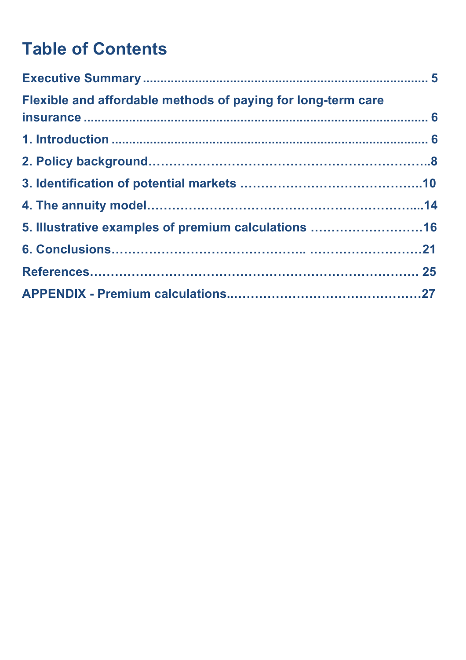## **Table of Contents**

| Flexible and affordable methods of paying for long-term care |  |
|--------------------------------------------------------------|--|
|                                                              |  |
|                                                              |  |
|                                                              |  |
|                                                              |  |
| 5. Illustrative examples of premium calculations 16          |  |
|                                                              |  |
|                                                              |  |
|                                                              |  |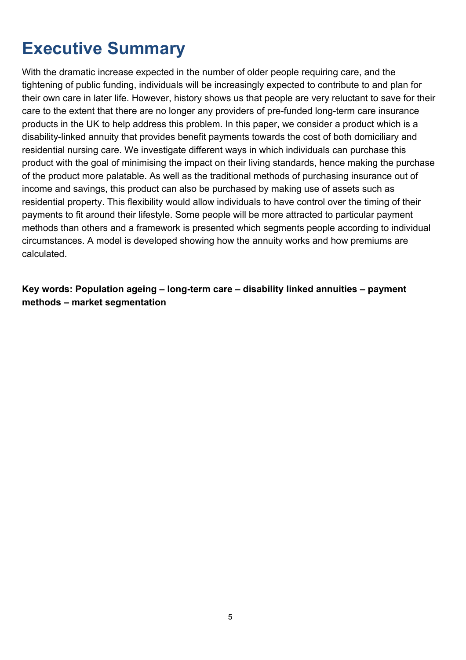## **Executive Summary**

With the dramatic increase expected in the number of older people requiring care, and the tightening of public funding, individuals will be increasingly expected to contribute to and plan for their own care in later life. However, history shows us that people are very reluctant to save for their care to the extent that there are no longer any providers of pre-funded long-term care insurance products in the UK to help address this problem. In this paper, we consider a product which is a disability-linked annuity that provides benefit payments towards the cost of both domiciliary and residential nursing care. We investigate different ways in which individuals can purchase this product with the goal of minimising the impact on their living standards, hence making the purchase of the product more palatable. As well as the traditional methods of purchasing insurance out of income and savings, this product can also be purchased by making use of assets such as residential property. This flexibility would allow individuals to have control over the timing of their payments to fit around their lifestyle. Some people will be more attracted to particular payment methods than others and a framework is presented which segments people according to individual circumstances. A model is developed showing how the annuity works and how premiums are calculated.

**Key words: Population ageing – long-term care – disability linked annuities – payment methods – market segmentation**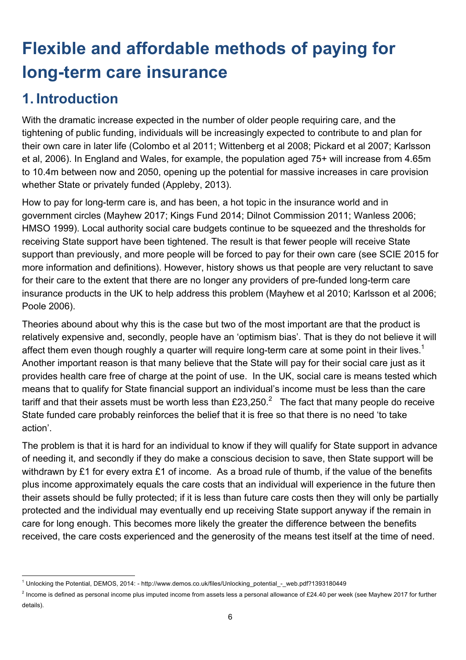## **Flexible and affordable methods of paying for long-term care insurance**

### **1. Introduction**

With the dramatic increase expected in the number of older people requiring care, and the tightening of public funding, individuals will be increasingly expected to contribute to and plan for their own care in later life (Colombo et al 2011; Wittenberg et al 2008; Pickard et al 2007; Karlsson et al, 2006). In England and Wales, for example, the population aged 75+ will increase from 4.65m to 10.4m between now and 2050, opening up the potential for massive increases in care provision whether State or privately funded (Appleby, 2013).

How to pay for long-term care is, and has been, a hot topic in the insurance world and in government circles (Mayhew 2017; Kings Fund 2014; Dilnot Commission 2011; Wanless 2006; HMSO 1999). Local authority social care budgets continue to be squeezed and the thresholds for receiving State support have been tightened. The result is that fewer people will receive State support than previously, and more people will be forced to pay for their own care (see SCIE 2015 for more information and definitions). However, history shows us that people are very reluctant to save for their care to the extent that there are no longer any providers of pre-funded long-term care insurance products in the UK to help address this problem (Mayhew et al 2010; Karlsson et al 2006; Poole 2006).

Theories abound about why this is the case but two of the most important are that the product is relatively expensive and, secondly, people have an 'optimism bias'. That is they do not believe it will affect them even though roughly a quarter will require long-term care at some point in their lives.<sup>1</sup> Another important reason is that many believe that the State will pay for their social care just as it provides health care free of charge at the point of use. In the UK, social care is means tested which means that to qualify for State financial support an individual's income must be less than the care tariff and that their assets must be worth less than £23,250.<sup>2</sup> The fact that many people do receive State funded care probably reinforces the belief that it is free so that there is no need 'to take action'.

The problem is that it is hard for an individual to know if they will qualify for State support in advance of needing it, and secondly if they do make a conscious decision to save, then State support will be withdrawn by £1 for every extra £1 of income. As a broad rule of thumb, if the value of the benefits plus income approximately equals the care costs that an individual will experience in the future then their assets should be fully protected; if it is less than future care costs then they will only be partially protected and the individual may eventually end up receiving State support anyway if the remain in care for long enough. This becomes more likely the greater the difference between the benefits received, the care costs experienced and the generosity of the means test itself at the time of need.

<sup>&</sup>lt;u> 1989 - Jan Samuel Barbara, margaret e</u> <sup>1</sup> Unlocking the Potential, DEMOS, 2014: - http://www.demos.co.uk/files/Unlocking\_potential\_-\_web.pdf?1393180449

 $2$  Income is defined as personal income plus imputed income from assets less a personal allowance of £24.40 per week (see Mayhew 2017 for further details).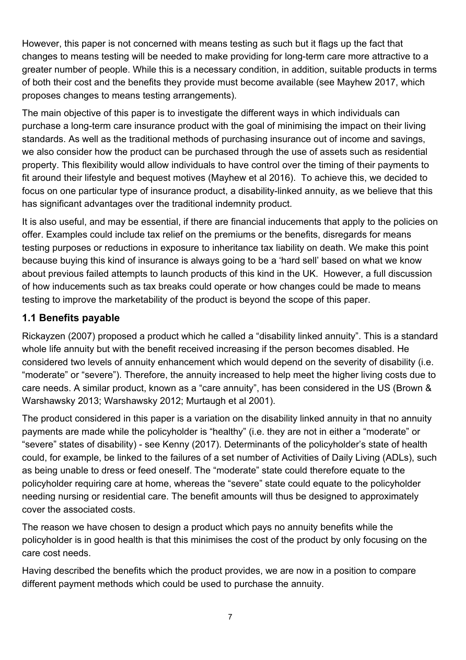However, this paper is not concerned with means testing as such but it flags up the fact that changes to means testing will be needed to make providing for long-term care more attractive to a greater number of people. While this is a necessary condition, in addition, suitable products in terms of both their cost and the benefits they provide must become available (see Mayhew 2017, which proposes changes to means testing arrangements).

The main objective of this paper is to investigate the different ways in which individuals can purchase a long-term care insurance product with the goal of minimising the impact on their living standards. As well as the traditional methods of purchasing insurance out of income and savings, we also consider how the product can be purchased through the use of assets such as residential property. This flexibility would allow individuals to have control over the timing of their payments to fit around their lifestyle and bequest motives (Mayhew et al 2016). To achieve this, we decided to focus on one particular type of insurance product, a disability-linked annuity, as we believe that this has significant advantages over the traditional indemnity product.

It is also useful, and may be essential, if there are financial inducements that apply to the policies on offer. Examples could include tax relief on the premiums or the benefits, disregards for means testing purposes or reductions in exposure to inheritance tax liability on death. We make this point because buying this kind of insurance is always going to be a 'hard sell' based on what we know about previous failed attempts to launch products of this kind in the UK. However, a full discussion of how inducements such as tax breaks could operate or how changes could be made to means testing to improve the marketability of the product is beyond the scope of this paper.

#### **1.1 Benefits payable**

Rickayzen (2007) proposed a product which he called a "disability linked annuity". This is a standard whole life annuity but with the benefit received increasing if the person becomes disabled. He considered two levels of annuity enhancement which would depend on the severity of disability (i.e. "moderate" or "severe"). Therefore, the annuity increased to help meet the higher living costs due to care needs. A similar product, known as a "care annuity", has been considered in the US (Brown & Warshawsky 2013; Warshawsky 2012; Murtaugh et al 2001).

The product considered in this paper is a variation on the disability linked annuity in that no annuity payments are made while the policyholder is "healthy" (i.e. they are not in either a "moderate" or "severe" states of disability) - see Kenny (2017). Determinants of the policyholder's state of health could, for example, be linked to the failures of a set number of Activities of Daily Living (ADLs), such as being unable to dress or feed oneself. The "moderate" state could therefore equate to the policyholder requiring care at home, whereas the "severe" state could equate to the policyholder needing nursing or residential care. The benefit amounts will thus be designed to approximately cover the associated costs.

The reason we have chosen to design a product which pays no annuity benefits while the policyholder is in good health is that this minimises the cost of the product by only focusing on the care cost needs.

Having described the benefits which the product provides, we are now in a position to compare different payment methods which could be used to purchase the annuity.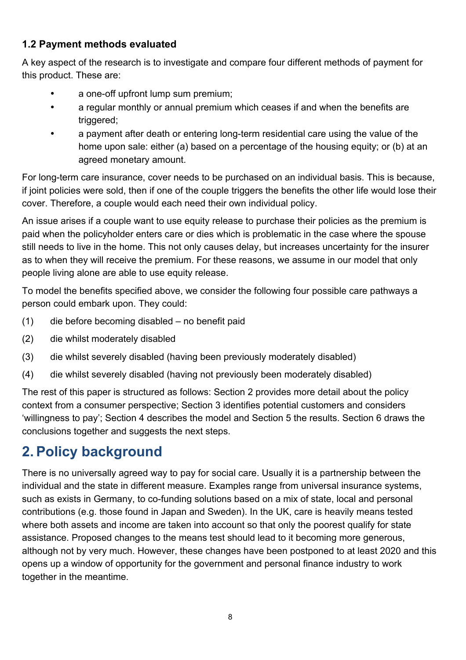#### **1.2 Payment methods evaluated**

A key aspect of the research is to investigate and compare four different methods of payment for this product. These are:

- a one-off upfront lump sum premium;
- a regular monthly or annual premium which ceases if and when the benefits are triggered;
- a payment after death or entering long-term residential care using the value of the home upon sale: either (a) based on a percentage of the housing equity; or (b) at an agreed monetary amount.

For long-term care insurance, cover needs to be purchased on an individual basis. This is because, if joint policies were sold, then if one of the couple triggers the benefits the other life would lose their cover. Therefore, a couple would each need their own individual policy.

An issue arises if a couple want to use equity release to purchase their policies as the premium is paid when the policyholder enters care or dies which is problematic in the case where the spouse still needs to live in the home. This not only causes delay, but increases uncertainty for the insurer as to when they will receive the premium. For these reasons, we assume in our model that only people living alone are able to use equity release.

To model the benefits specified above, we consider the following four possible care pathways a person could embark upon. They could:

- (1) die before becoming disabled no benefit paid
- (2) die whilst moderately disabled
- (3) die whilst severely disabled (having been previously moderately disabled)
- (4) die whilst severely disabled (having not previously been moderately disabled)

The rest of this paper is structured as follows: Section 2 provides more detail about the policy context from a consumer perspective; Section 3 identifies potential customers and considers 'willingness to pay'; Section 4 describes the model and Section 5 the results. Section 6 draws the conclusions together and suggests the next steps.

## **2.Policy background**

There is no universally agreed way to pay for social care. Usually it is a partnership between the individual and the state in different measure. Examples range from universal insurance systems, such as exists in Germany, to co-funding solutions based on a mix of state, local and personal contributions (e.g. those found in Japan and Sweden). In the UK, care is heavily means tested where both assets and income are taken into account so that only the poorest qualify for state assistance. Proposed changes to the means test should lead to it becoming more generous, although not by very much. However, these changes have been postponed to at least 2020 and this opens up a window of opportunity for the government and personal finance industry to work together in the meantime.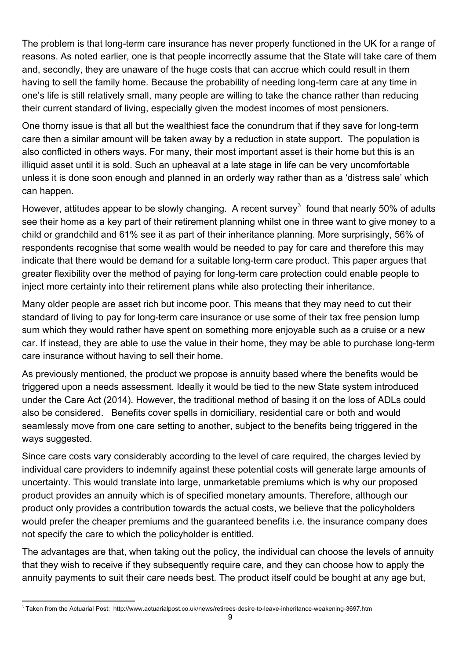The problem is that long-term care insurance has never properly functioned in the UK for a range of reasons. As noted earlier, one is that people incorrectly assume that the State will take care of them and, secondly, they are unaware of the huge costs that can accrue which could result in them having to sell the family home. Because the probability of needing long-term care at any time in one's life is still relatively small, many people are willing to take the chance rather than reducing their current standard of living, especially given the modest incomes of most pensioners.

One thorny issue is that all but the wealthiest face the conundrum that if they save for long-term care then a similar amount will be taken away by a reduction in state support. The population is also conflicted in others ways. For many, their most important asset is their home but this is an illiquid asset until it is sold. Such an upheaval at a late stage in life can be very uncomfortable unless it is done soon enough and planned in an orderly way rather than as a 'distress sale' which can happen.

However, attitudes appear to be slowly changing. A recent survey<sup>3</sup> found that nearly 50% of adults see their home as a key part of their retirement planning whilst one in three want to give money to a child or grandchild and 61% see it as part of their inheritance planning. More surprisingly, 56% of respondents recognise that some wealth would be needed to pay for care and therefore this may indicate that there would be demand for a suitable long-term care product. This paper argues that greater flexibility over the method of paying for long-term care protection could enable people to inject more certainty into their retirement plans while also protecting their inheritance.

Many older people are asset rich but income poor. This means that they may need to cut their standard of living to pay for long-term care insurance or use some of their tax free pension lump sum which they would rather have spent on something more enjoyable such as a cruise or a new car. If instead, they are able to use the value in their home, they may be able to purchase long-term care insurance without having to sell their home.

As previously mentioned, the product we propose is annuity based where the benefits would be triggered upon a needs assessment. Ideally it would be tied to the new State system introduced under the Care Act (2014). However, the traditional method of basing it on the loss of ADLs could also be considered. Benefits cover spells in domiciliary, residential care or both and would seamlessly move from one care setting to another, subject to the benefits being triggered in the ways suggested.

Since care costs vary considerably according to the level of care required, the charges levied by individual care providers to indemnify against these potential costs will generate large amounts of uncertainty. This would translate into large, unmarketable premiums which is why our proposed product provides an annuity which is of specified monetary amounts. Therefore, although our product only provides a contribution towards the actual costs, we believe that the policyholders would prefer the cheaper premiums and the guaranteed benefits i.e. the insurance company does not specify the care to which the policyholder is entitled.

The advantages are that, when taking out the policy, the individual can choose the levels of annuity that they wish to receive if they subsequently require care, and they can choose how to apply the annuity payments to suit their care needs best. The product itself could be bought at any age but,

 <sup>3</sup> Taken from the Actuarial Post: http://www.actuarialpost.co.uk/news/retirees-desire-to-leave-inheritance-weakening-3697.htm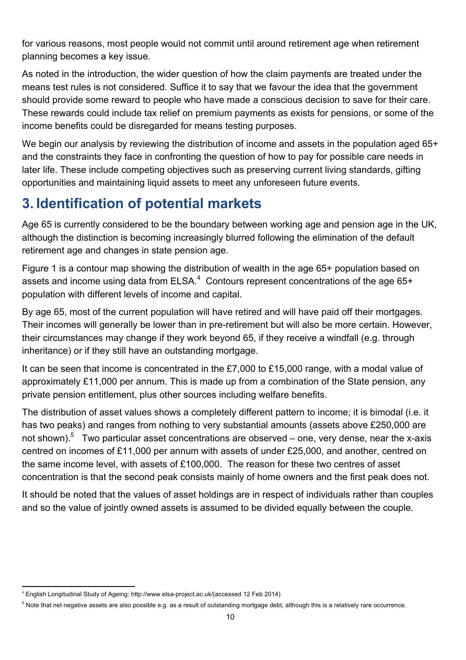for various reasons, most people would not commit until around retirement age when retirement planning becomes a key issue.

As noted in the introduction, the wider question of how the claim payments are treated under the means test rules is not considered. Suffice it to say that we favour the idea that the government should provide some reward to people who have made a conscious decision to save for their care. These rewards could include tax relief on premium payments as exists for pensions, or some of the income benefits could be disregarded for means testing purposes.

We begin our analysis by reviewing the distribution of income and assets in the population aged 65+ and the constraints they face in confronting the question of how to pay for possible care needs in later life. These include competing objectives such as preserving current living standards, gifting opportunities and maintaining liquid assets to meet any unforeseen future events.

## **3. Identification of potential markets**

Age 65 is currently considered to be the boundary between working age and pension age in the UK, although the distinction is becoming increasingly blurred following the elimination of the default retirement age and changes in state pension age.

Figure 1 is a contour map showing the distribution of wealth in the age 65+ population based on assets and income using data from ELSA. $4$  Contours represent concentrations of the age 65+ population with different levels of income and capital.

By age 65, most of the current population will have retired and will have paid off their mortgages. Their incomes will generally be lower than in pre-retirement but will also be more certain. However, their circumstances may change if they work beyond 65, if they receive a windfall (e.g. through inheritance) or if they still have an outstanding mortgage.

It can be seen that income is concentrated in the £7,000 to £15,000 range, with a modal value of approximately £11,000 per annum. This is made up from a combination of the State pension, any private pension entitlement, plus other sources including welfare benefits.

The distribution of asset values shows a completely different pattern to income; it is bimodal (i.e. it has two peaks) and ranges from nothing to very substantial amounts (assets above £250,000 are not shown).<sup>5</sup> Two particular asset concentrations are observed – one, very dense, near the x-axis centred on incomes of £11,000 per annum with assets of under £25,000, and another, centred on the same income level, with assets of £100,000. The reason for these two centres of asset concentration is that the second peak consists mainly of home owners and the first peak does not.

It should be noted that the values of asset holdings are in respect of individuals rather than couples and so the value of jointly owned assets is assumed to be divided equally between the couple.

<sup>&</sup>lt;u> 1989 - Jan Samuel Barbara, margaret e</u> <sup>4</sup> English Longitudinal Study of Ageing: http://www.elsa-project.ac.uk/(accessed 12 Feb 2014)

<sup>&</sup>lt;sup>5</sup> Note that net negative assets are also possible e.g. as a result of outstanding mortgage debt, although this is a relatively rare occurrence.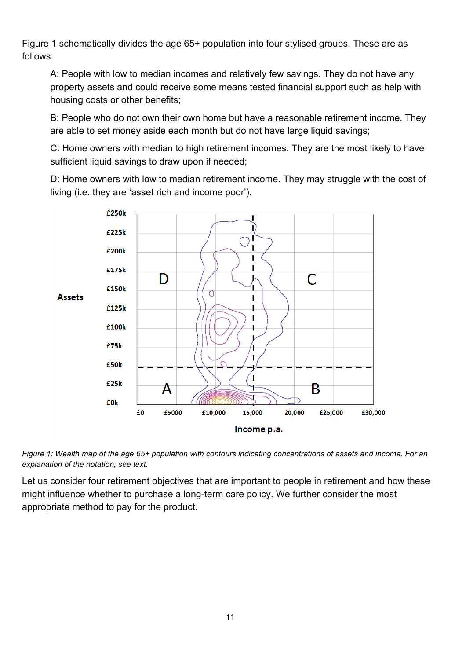Figure 1 schematically divides the age 65+ population into four stylised groups. These are as follows:

A: People with low to median incomes and relatively few savings. They do not have any property assets and could receive some means tested financial support such as help with housing costs or other benefits;

B: People who do not own their own home but have a reasonable retirement income. They are able to set money aside each month but do not have large liquid savings;

C: Home owners with median to high retirement incomes. They are the most likely to have sufficient liquid savings to draw upon if needed;

D: Home owners with low to median retirement income. They may struggle with the cost of living (i.e. they are 'asset rich and income poor').



*Figure 1: Wealth map of the age 65+ population with contours indicating concentrations of assets and income. For an explanation of the notation, see text.*

Let us consider four retirement objectives that are important to people in retirement and how these might influence whether to purchase a long-term care policy. We further consider the most appropriate method to pay for the product.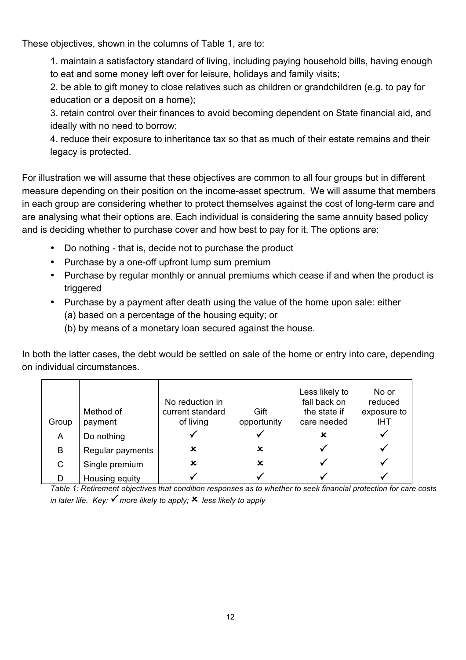These objectives, shown in the columns of Table 1, are to:

1. maintain a satisfactory standard of living, including paying household bills, having enough to eat and some money left over for leisure, holidays and family visits;

2. be able to gift money to close relatives such as children or grandchildren (e.g. to pay for education or a deposit on a home);

3. retain control over their finances to avoid becoming dependent on State financial aid, and ideally with no need to borrow;

4. reduce their exposure to inheritance tax so that as much of their estate remains and their legacy is protected.

For illustration we will assume that these objectives are common to all four groups but in different measure depending on their position on the income-asset spectrum. We will assume that members in each group are considering whether to protect themselves against the cost of long-term care and are analysing what their options are. Each individual is considering the same annuity based policy and is deciding whether to purchase cover and how best to pay for it. The options are:

- Do nothing that is, decide not to purchase the product
- Purchase by a one-off upfront lump sum premium
- Purchase by regular monthly or annual premiums which cease if and when the product is triggered
- Purchase by a payment after death using the value of the home upon sale: either
	- (a) based on a percentage of the housing equity; or
	- (b) by means of a monetary loan secured against the house.

In both the latter cases, the debt would be settled on sale of the home or entry into care, depending on individual circumstances.

| Group | Method of<br>payment | No reduction in<br>current standard<br>of living | Gift<br>opportunity | Less likely to<br>fall back on<br>the state if<br>care needed | No or<br>reduced<br>exposure to<br>IHT |
|-------|----------------------|--------------------------------------------------|---------------------|---------------------------------------------------------------|----------------------------------------|
| A     | Do nothing           |                                                  |                     | x                                                             |                                        |
| B     | Regular payments     | x                                                | x                   |                                                               |                                        |
| C     | Single premium       | x                                                | x                   |                                                               |                                        |
|       | Housing equity       |                                                  |                     |                                                               |                                        |

*Table 1: Retirement objectives that condition responses as to whether to seek financial protection for care costs in later life.* Key:  $\checkmark$  more likely to apply;  $\checkmark$  less likely to apply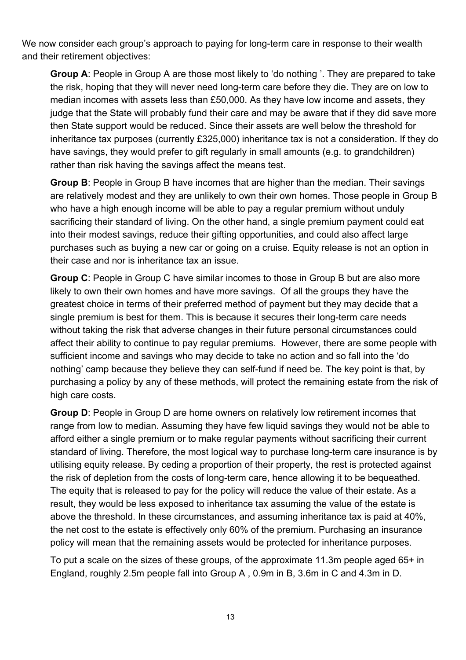We now consider each group's approach to paying for long-term care in response to their wealth and their retirement objectives:

**Group A**: People in Group A are those most likely to 'do nothing '. They are prepared to take the risk, hoping that they will never need long-term care before they die. They are on low to median incomes with assets less than £50,000. As they have low income and assets, they judge that the State will probably fund their care and may be aware that if they did save more then State support would be reduced. Since their assets are well below the threshold for inheritance tax purposes (currently £325,000) inheritance tax is not a consideration. If they do have savings, they would prefer to gift regularly in small amounts (e.g. to grandchildren) rather than risk having the savings affect the means test.

**Group B**: People in Group B have incomes that are higher than the median. Their savings are relatively modest and they are unlikely to own their own homes. Those people in Group B who have a high enough income will be able to pay a regular premium without unduly sacrificing their standard of living. On the other hand, a single premium payment could eat into their modest savings, reduce their gifting opportunities, and could also affect large purchases such as buying a new car or going on a cruise. Equity release is not an option in their case and nor is inheritance tax an issue.

**Group C**: People in Group C have similar incomes to those in Group B but are also more likely to own their own homes and have more savings. Of all the groups they have the greatest choice in terms of their preferred method of payment but they may decide that a single premium is best for them. This is because it secures their long-term care needs without taking the risk that adverse changes in their future personal circumstances could affect their ability to continue to pay regular premiums. However, there are some people with sufficient income and savings who may decide to take no action and so fall into the 'do nothing' camp because they believe they can self-fund if need be. The key point is that, by purchasing a policy by any of these methods, will protect the remaining estate from the risk of high care costs.

**Group D**: People in Group D are home owners on relatively low retirement incomes that range from low to median. Assuming they have few liquid savings they would not be able to afford either a single premium or to make regular payments without sacrificing their current standard of living. Therefore, the most logical way to purchase long-term care insurance is by utilising equity release. By ceding a proportion of their property, the rest is protected against the risk of depletion from the costs of long-term care, hence allowing it to be bequeathed. The equity that is released to pay for the policy will reduce the value of their estate. As a result, they would be less exposed to inheritance tax assuming the value of the estate is above the threshold. In these circumstances, and assuming inheritance tax is paid at 40%, the net cost to the estate is effectively only 60% of the premium. Purchasing an insurance policy will mean that the remaining assets would be protected for inheritance purposes.

To put a scale on the sizes of these groups, of the approximate 11.3m people aged 65+ in England, roughly 2.5m people fall into Group A , 0.9m in B, 3.6m in C and 4.3m in D.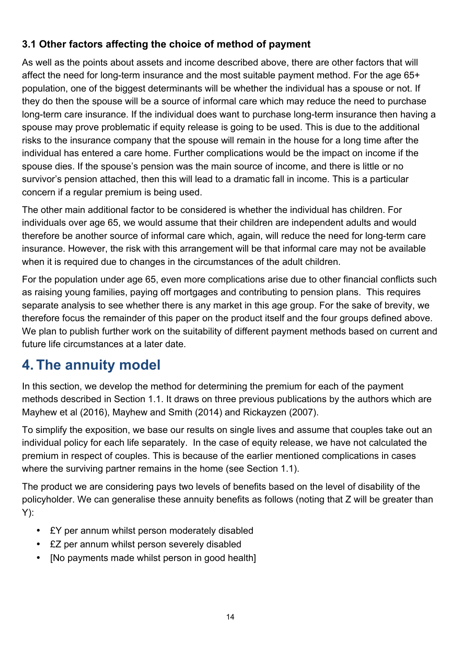#### **3.1 Other factors affecting the choice of method of payment**

As well as the points about assets and income described above, there are other factors that will affect the need for long-term insurance and the most suitable payment method. For the age 65+ population, one of the biggest determinants will be whether the individual has a spouse or not. If they do then the spouse will be a source of informal care which may reduce the need to purchase long-term care insurance. If the individual does want to purchase long-term insurance then having a spouse may prove problematic if equity release is going to be used. This is due to the additional risks to the insurance company that the spouse will remain in the house for a long time after the individual has entered a care home. Further complications would be the impact on income if the spouse dies. If the spouse's pension was the main source of income, and there is little or no survivor's pension attached, then this will lead to a dramatic fall in income. This is a particular concern if a regular premium is being used.

The other main additional factor to be considered is whether the individual has children. For individuals over age 65, we would assume that their children are independent adults and would therefore be another source of informal care which, again, will reduce the need for long-term care insurance. However, the risk with this arrangement will be that informal care may not be available when it is required due to changes in the circumstances of the adult children.

For the population under age 65, even more complications arise due to other financial conflicts such as raising young families, paying off mortgages and contributing to pension plans. This requires separate analysis to see whether there is any market in this age group. For the sake of brevity, we therefore focus the remainder of this paper on the product itself and the four groups defined above. We plan to publish further work on the suitability of different payment methods based on current and future life circumstances at a later date.

### **4. The annuity model**

In this section, we develop the method for determining the premium for each of the payment methods described in Section 1.1. It draws on three previous publications by the authors which are Mayhew et al (2016), Mayhew and Smith (2014) and Rickayzen (2007).

To simplify the exposition, we base our results on single lives and assume that couples take out an individual policy for each life separately. In the case of equity release, we have not calculated the premium in respect of couples. This is because of the earlier mentioned complications in cases where the surviving partner remains in the home (see Section 1.1).

The product we are considering pays two levels of benefits based on the level of disability of the policyholder. We can generalise these annuity benefits as follows (noting that Z will be greater than Y):

- £Y per annum whilst person moderately disabled
- £Z per annum whilst person severely disabled
- [No payments made whilst person in good health]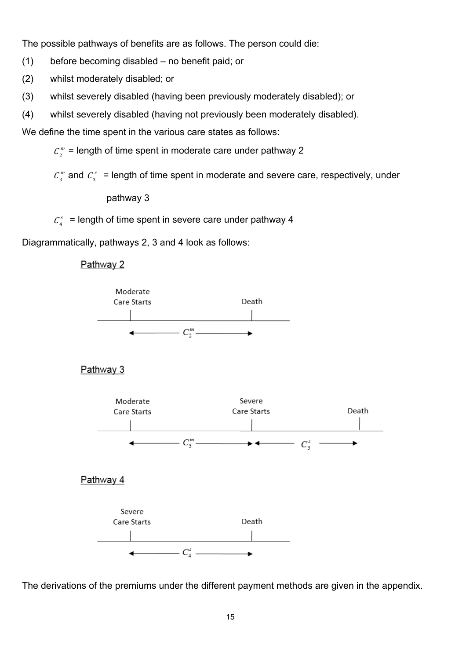The possible pathways of benefits are as follows. The person could die:

(1) before becoming disabled – no benefit paid; or

(2) whilst moderately disabled; or

(3) whilst severely disabled (having been previously moderately disabled); or

(4) whilst severely disabled (having not previously been moderately disabled).

We define the time spent in the various care states as follows:

 $C_2^{\,m}$  = length of time spent in moderate care under pathway 2

 $C_3^m$  and  $C_3^s$  = length of time spent in moderate and severe care, respectively, under

pathway 3

 $C_4^s$  = length of time spent in severe care under pathway 4

Diagrammatically, pathways 2, 3 and 4 look as follows:

Pathway 2



The derivations of the premiums under the different payment methods are given in the appendix.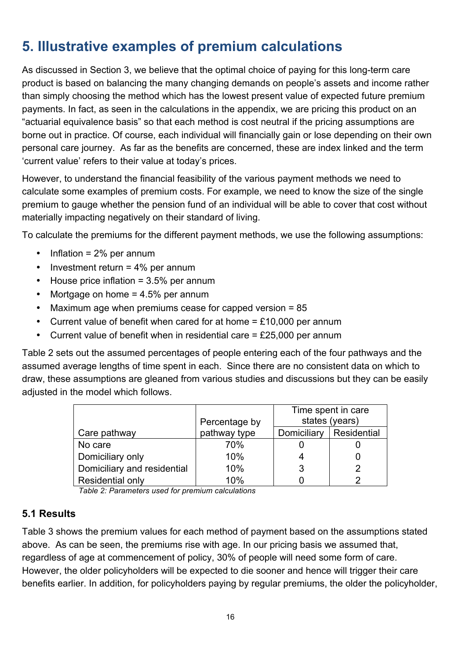## **5. Illustrative examples of premium calculations**

As discussed in Section 3, we believe that the optimal choice of paying for this long-term care product is based on balancing the many changing demands on people's assets and income rather than simply choosing the method which has the lowest present value of expected future premium payments. In fact, as seen in the calculations in the appendix, we are pricing this product on an "actuarial equivalence basis" so that each method is cost neutral if the pricing assumptions are borne out in practice. Of course, each individual will financially gain or lose depending on their own personal care journey. As far as the benefits are concerned, these are index linked and the term 'current value' refers to their value at today's prices.

However, to understand the financial feasibility of the various payment methods we need to calculate some examples of premium costs. For example, we need to know the size of the single premium to gauge whether the pension fund of an individual will be able to cover that cost without materially impacting negatively on their standard of living.

To calculate the premiums for the different payment methods, we use the following assumptions:

- Inflation = 2% per annum
- Investment return = 4% per annum
- House price inflation = 3.5% per annum
- Mortgage on home = 4.5% per annum
- Maximum age when premiums cease for capped version = 85
- Current value of benefit when cared for at home  $=$  £10,000 per annum
- Current value of benefit when in residential care  $=$  £25,000 per annum

Table 2 sets out the assumed percentages of people entering each of the four pathways and the assumed average lengths of time spent in each. Since there are no consistent data on which to draw, these assumptions are gleaned from various studies and discussions but they can be easily adiusted in the model which follows.

|                             |               | Time spent in care |             |
|-----------------------------|---------------|--------------------|-------------|
|                             | Percentage by | states (years)     |             |
| Care pathway                | pathway type  | Domiciliary        | Residential |
| No care                     | 70%           |                    |             |
| Domiciliary only            | 10%           |                    |             |
| Domiciliary and residential | 10%           | 3                  | 2           |
| <b>Residential only</b>     | 10%           |                    | っ           |

*Table 2: Parameters used for premium calculations* 

#### **5.1 Results**

Table 3 shows the premium values for each method of payment based on the assumptions stated above. As can be seen, the premiums rise with age. In our pricing basis we assumed that, regardless of age at commencement of policy, 30% of people will need some form of care. However, the older policyholders will be expected to die sooner and hence will trigger their care benefits earlier. In addition, for policyholders paying by regular premiums, the older the policyholder,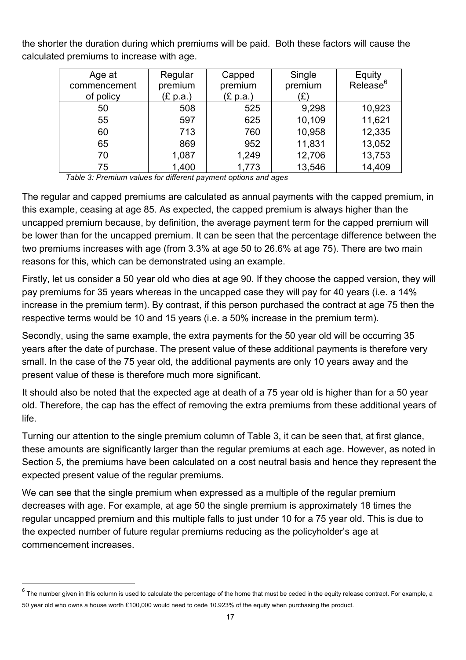the shorter the duration during which premiums will be paid. Both these factors will cause the calculated premiums to increase with age.

| Age at       | Regular  | Capped   | Single  | Equity               |
|--------------|----------|----------|---------|----------------------|
| commencement | premium  | premium  | premium | Release <sup>6</sup> |
| of policy    | (£ p.a.) | (E p.a.) | '£)     |                      |
| 50           | 508      | 525      | 9,298   | 10,923               |
| 55           | 597      | 625      | 10,109  | 11,621               |
| 60           | 713      | 760      | 10,958  | 12,335               |
| 65           | 869      | 952      | 11,831  | 13,052               |
| 70           | 1,087    | 1,249    | 12,706  | 13,753               |
| 75           | 1,400    | 1,773    | 13,546  | 14,409               |

 *Table 3: Premium values for different payment options and ages*

The regular and capped premiums are calculated as annual payments with the capped premium, in this example, ceasing at age 85. As expected, the capped premium is always higher than the uncapped premium because, by definition, the average payment term for the capped premium will be lower than for the uncapped premium. It can be seen that the percentage difference between the two premiums increases with age (from 3.3% at age 50 to 26.6% at age 75). There are two main reasons for this, which can be demonstrated using an example.

Firstly, let us consider a 50 year old who dies at age 90. If they choose the capped version, they will pay premiums for 35 years whereas in the uncapped case they will pay for 40 years (i.e. a 14% increase in the premium term). By contrast, if this person purchased the contract at age 75 then the respective terms would be 10 and 15 years (i.e. a 50% increase in the premium term).

Secondly, using the same example, the extra payments for the 50 year old will be occurring 35 years after the date of purchase. The present value of these additional payments is therefore very small. In the case of the 75 year old, the additional payments are only 10 years away and the present value of these is therefore much more significant.

It should also be noted that the expected age at death of a 75 year old is higher than for a 50 year old. Therefore, the cap has the effect of removing the extra premiums from these additional years of life.

Turning our attention to the single premium column of Table 3, it can be seen that, at first glance, these amounts are significantly larger than the regular premiums at each age. However, as noted in Section 5, the premiums have been calculated on a cost neutral basis and hence they represent the expected present value of the regular premiums.

We can see that the single premium when expressed as a multiple of the regular premium decreases with age. For example, at age 50 the single premium is approximately 18 times the regular uncapped premium and this multiple falls to just under 10 for a 75 year old. This is due to the expected number of future regular premiums reducing as the policyholder's age at commencement increases.

<u> 1989 - Jan Samuel Barbara, margaret e</u>

 $6$  The number given in this column is used to calculate the percentage of the home that must be ceded in the equity release contract. For example, a 50 year old who owns a house worth £100,000 would need to cede 10.923% of the equity when purchasing the product.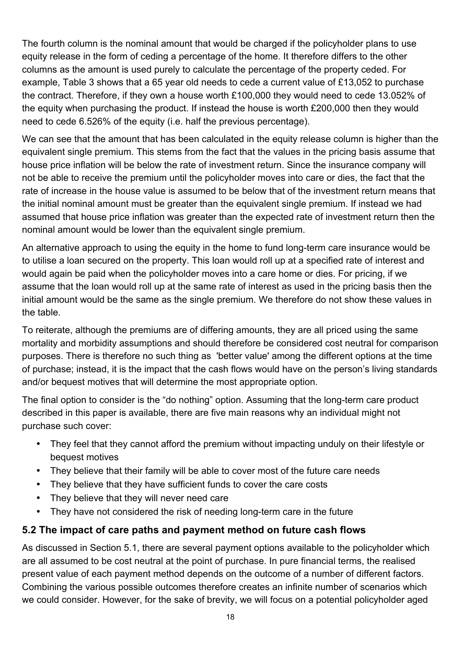The fourth column is the nominal amount that would be charged if the policyholder plans to use equity release in the form of ceding a percentage of the home. It therefore differs to the other columns as the amount is used purely to calculate the percentage of the property ceded. For example, Table 3 shows that a 65 year old needs to cede a current value of £13,052 to purchase the contract. Therefore, if they own a house worth £100,000 they would need to cede 13.052% of the equity when purchasing the product. If instead the house is worth £200,000 then they would need to cede 6.526% of the equity (i.e. half the previous percentage).

We can see that the amount that has been calculated in the equity release column is higher than the equivalent single premium. This stems from the fact that the values in the pricing basis assume that house price inflation will be below the rate of investment return. Since the insurance company will not be able to receive the premium until the policyholder moves into care or dies, the fact that the rate of increase in the house value is assumed to be below that of the investment return means that the initial nominal amount must be greater than the equivalent single premium. If instead we had assumed that house price inflation was greater than the expected rate of investment return then the nominal amount would be lower than the equivalent single premium.

An alternative approach to using the equity in the home to fund long-term care insurance would be to utilise a loan secured on the property. This loan would roll up at a specified rate of interest and would again be paid when the policyholder moves into a care home or dies. For pricing, if we assume that the loan would roll up at the same rate of interest as used in the pricing basis then the initial amount would be the same as the single premium. We therefore do not show these values in the table.

To reiterate, although the premiums are of differing amounts, they are all priced using the same mortality and morbidity assumptions and should therefore be considered cost neutral for comparison purposes. There is therefore no such thing as 'better value' among the different options at the time of purchase; instead, it is the impact that the cash flows would have on the person's living standards and/or bequest motives that will determine the most appropriate option.

The final option to consider is the "do nothing" option. Assuming that the long-term care product described in this paper is available, there are five main reasons why an individual might not purchase such cover:

- They feel that they cannot afford the premium without impacting unduly on their lifestyle or bequest motives
- They believe that their family will be able to cover most of the future care needs
- They believe that they have sufficient funds to cover the care costs
- They believe that they will never need care
- They have not considered the risk of needing long-term care in the future

#### **5.2 The impact of care paths and payment method on future cash flows**

As discussed in Section 5.1, there are several payment options available to the policyholder which are all assumed to be cost neutral at the point of purchase. In pure financial terms, the realised present value of each payment method depends on the outcome of a number of different factors. Combining the various possible outcomes therefore creates an infinite number of scenarios which we could consider. However, for the sake of brevity, we will focus on a potential policyholder aged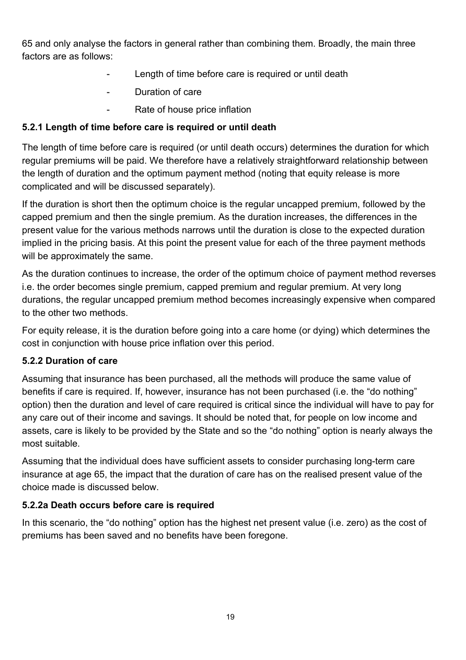65 and only analyse the factors in general rather than combining them. Broadly, the main three factors are as follows:

- Length of time before care is required or until death
- Duration of care
- Rate of house price inflation

#### **5.2.1 Length of time before care is required or until death**

The length of time before care is required (or until death occurs) determines the duration for which regular premiums will be paid. We therefore have a relatively straightforward relationship between the length of duration and the optimum payment method (noting that equity release is more complicated and will be discussed separately).

If the duration is short then the optimum choice is the regular uncapped premium, followed by the capped premium and then the single premium. As the duration increases, the differences in the present value for the various methods narrows until the duration is close to the expected duration implied in the pricing basis. At this point the present value for each of the three payment methods will be approximately the same.

As the duration continues to increase, the order of the optimum choice of payment method reverses i.e. the order becomes single premium, capped premium and regular premium. At very long durations, the regular uncapped premium method becomes increasingly expensive when compared to the other two methods.

For equity release, it is the duration before going into a care home (or dying) which determines the cost in conjunction with house price inflation over this period.

#### **5.2.2 Duration of care**

Assuming that insurance has been purchased, all the methods will produce the same value of benefits if care is required. If, however, insurance has not been purchased (i.e. the "do nothing" option) then the duration and level of care required is critical since the individual will have to pay for any care out of their income and savings. It should be noted that, for people on low income and assets, care is likely to be provided by the State and so the "do nothing" option is nearly always the most suitable.

Assuming that the individual does have sufficient assets to consider purchasing long-term care insurance at age 65, the impact that the duration of care has on the realised present value of the choice made is discussed below.

#### **5.2.2a Death occurs before care is required**

In this scenario, the "do nothing" option has the highest net present value (i.e. zero) as the cost of premiums has been saved and no benefits have been foregone.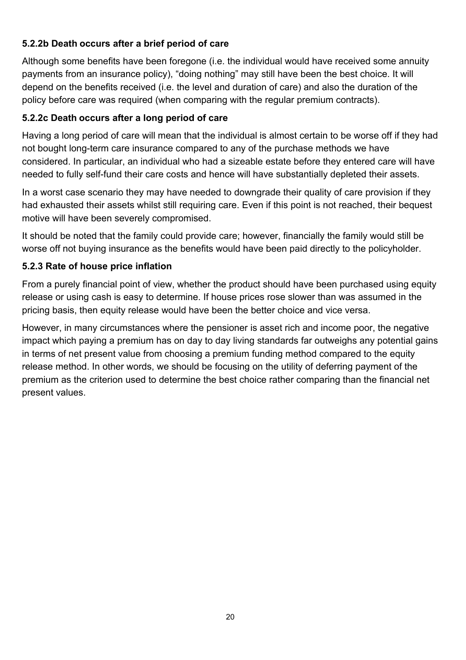#### **5.2.2b Death occurs after a brief period of care**

Although some benefits have been foregone (i.e. the individual would have received some annuity payments from an insurance policy), "doing nothing" may still have been the best choice. It will depend on the benefits received (i.e. the level and duration of care) and also the duration of the policy before care was required (when comparing with the regular premium contracts).

#### **5.2.2c Death occurs after a long period of care**

Having a long period of care will mean that the individual is almost certain to be worse off if they had not bought long-term care insurance compared to any of the purchase methods we have considered. In particular, an individual who had a sizeable estate before they entered care will have needed to fully self-fund their care costs and hence will have substantially depleted their assets.

In a worst case scenario they may have needed to downgrade their quality of care provision if they had exhausted their assets whilst still requiring care. Even if this point is not reached, their bequest motive will have been severely compromised.

It should be noted that the family could provide care; however, financially the family would still be worse off not buying insurance as the benefits would have been paid directly to the policyholder.

#### **5.2.3 Rate of house price inflation**

From a purely financial point of view, whether the product should have been purchased using equity release or using cash is easy to determine. If house prices rose slower than was assumed in the pricing basis, then equity release would have been the better choice and vice versa.

However, in many circumstances where the pensioner is asset rich and income poor, the negative impact which paying a premium has on day to day living standards far outweighs any potential gains in terms of net present value from choosing a premium funding method compared to the equity release method. In other words, we should be focusing on the utility of deferring payment of the premium as the criterion used to determine the best choice rather comparing than the financial net present values.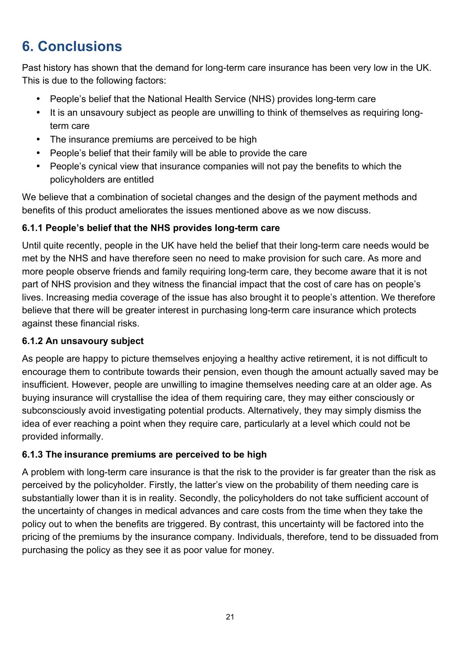## **6. Conclusions**

Past history has shown that the demand for long-term care insurance has been very low in the UK. This is due to the following factors:

- People's belief that the National Health Service (NHS) provides long-term care
- It is an unsavoury subiect as people are unwilling to think of themselves as requiring longterm care
- The insurance premiums are perceived to be high
- People's belief that their family will be able to provide the care
- People's cynical view that insurance companies will not pay the benefits to which the policyholders are entitled

We believe that a combination of societal changes and the design of the payment methods and benefits of this product ameliorates the issues mentioned above as we now discuss.

#### **6.1.1 People's belief that the NHS provides long-term care**

Until quite recently, people in the UK have held the belief that their long-term care needs would be met by the NHS and have therefore seen no need to make provision for such care. As more and more people observe friends and family requiring long-term care, they become aware that it is not part of NHS provision and they witness the financial impact that the cost of care has on people's lives. Increasing media coverage of the issue has also brought it to people's attention. We therefore believe that there will be greater interest in purchasing long-term care insurance which protects against these financial risks.

#### **6.1.2 An unsavoury subject**

As people are happy to picture themselves enjoying a healthy active retirement, it is not difficult to encourage them to contribute towards their pension, even though the amount actually saved may be insufficient. However, people are unwilling to imagine themselves needing care at an older age. As buying insurance will crystallise the idea of them requiring care, they may either consciously or subconsciously avoid investigating potential products. Alternatively, they may simply dismiss the idea of ever reaching a point when they require care, particularly at a level which could not be provided informally.

#### **6.1.3 The insurance premiums are perceived to be high**

A problem with long-term care insurance is that the risk to the provider is far greater than the risk as perceived by the policyholder. Firstly, the latter's view on the probability of them needing care is substantially lower than it is in reality. Secondly, the policyholders do not take sufficient account of the uncertainty of changes in medical advances and care costs from the time when they take the policy out to when the benefits are triggered. By contrast, this uncertainty will be factored into the pricing of the premiums by the insurance company. Individuals, therefore, tend to be dissuaded from purchasing the policy as they see it as poor value for money.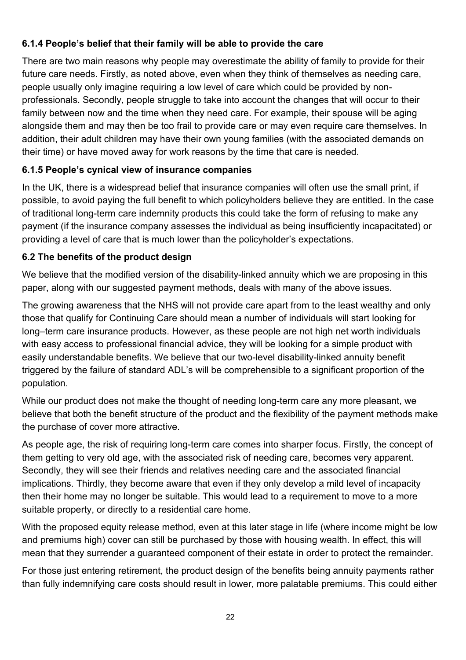#### **6.1.4 People's belief that their family will be able to provide the care**

There are two main reasons why people may overestimate the ability of family to provide for their future care needs. Firstly, as noted above, even when they think of themselves as needing care, people usually only imagine requiring a low level of care which could be provided by nonprofessionals. Secondly, people struggle to take into account the changes that will occur to their family between now and the time when they need care. For example, their spouse will be aging alongside them and may then be too frail to provide care or may even require care themselves. In addition, their adult children may have their own young families (with the associated demands on their time) or have moved away for work reasons by the time that care is needed.

#### **6.1.5 People's cynical view of insurance companies**

In the UK, there is a widespread belief that insurance companies will often use the small print, if possible, to avoid paying the full benefit to which policyholders believe they are entitled. In the case of traditional long-term care indemnity products this could take the form of refusing to make any payment (if the insurance company assesses the individual as being insufficiently incapacitated) or providing a level of care that is much lower than the policyholder's expectations.

#### **6.2 The benefits of the product design**

We believe that the modified version of the disability-linked annuity which we are proposing in this paper, along with our suggested payment methods, deals with many of the above issues.

The growing awareness that the NHS will not provide care apart from to the least wealthy and only those that qualify for Continuing Care should mean a number of individuals will start looking for long–term care insurance products. However, as these people are not high net worth individuals with easy access to professional financial advice, they will be looking for a simple product with easily understandable benefits. We believe that our two-level disability-linked annuity benefit triggered by the failure of standard ADL's will be comprehensible to a significant proportion of the population.

While our product does not make the thought of needing long-term care any more pleasant, we believe that both the benefit structure of the product and the flexibility of the payment methods make the purchase of cover more attractive.

As people age, the risk of requiring long-term care comes into sharper focus. Firstly, the concept of them getting to very old age, with the associated risk of needing care, becomes very apparent. Secondly, they will see their friends and relatives needing care and the associated financial implications. Thirdly, they become aware that even if they only develop a mild level of incapacity then their home may no longer be suitable. This would lead to a requirement to move to a more suitable property, or directly to a residential care home.

With the proposed equity release method, even at this later stage in life (where income might be low and premiums high) cover can still be purchased by those with housing wealth. In effect, this will mean that they surrender a guaranteed component of their estate in order to protect the remainder.

For those just entering retirement, the product design of the benefits being annuity payments rather than fully indemnifying care costs should result in lower, more palatable premiums. This could either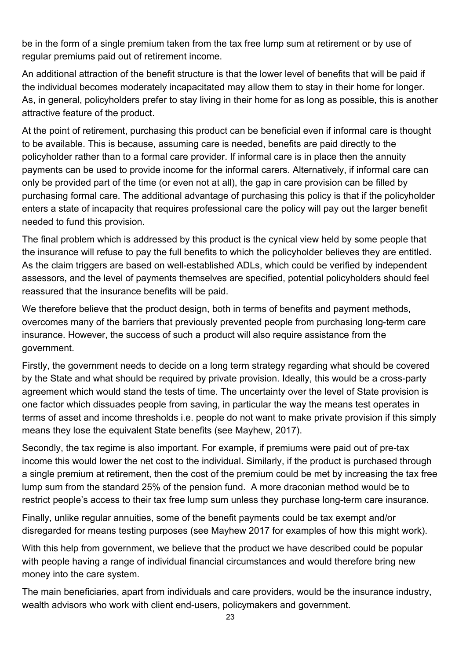be in the form of a single premium taken from the tax free lump sum at retirement or by use of regular premiums paid out of retirement income.

An additional attraction of the benefit structure is that the lower level of benefits that will be paid if the individual becomes moderately incapacitated may allow them to stay in their home for longer. As, in general, policyholders prefer to stay living in their home for as long as possible, this is another attractive feature of the product.

At the point of retirement, purchasing this product can be beneficial even if informal care is thought to be available. This is because, assuming care is needed, benefits are paid directly to the policyholder rather than to a formal care provider. If informal care is in place then the annuity payments can be used to provide income for the informal carers. Alternatively, if informal care can only be provided part of the time (or even not at all), the gap in care provision can be filled by purchasing formal care. The additional advantage of purchasing this policy is that if the policyholder enters a state of incapacity that requires professional care the policy will pay out the larger benefit needed to fund this provision.

The final problem which is addressed by this product is the cynical view held by some people that the insurance will refuse to pay the full benefits to which the policyholder believes they are entitled. As the claim triggers are based on well-established ADLs, which could be verified by independent assessors, and the level of payments themselves are specified, potential policyholders should feel reassured that the insurance benefits will be paid.

We therefore believe that the product design, both in terms of benefits and payment methods, overcomes many of the barriers that previously prevented people from purchasing long-term care insurance. However, the success of such a product will also require assistance from the government.

Firstly, the government needs to decide on a long term strategy regarding what should be covered by the State and what should be required by private provision. Ideally, this would be a cross-party agreement which would stand the tests of time. The uncertainty over the level of State provision is one factor which dissuades people from saving, in particular the way the means test operates in terms of asset and income thresholds i.e. people do not want to make private provision if this simply means they lose the equivalent State benefits (see Mayhew, 2017).

Secondly, the tax regime is also important. For example, if premiums were paid out of pre-tax income this would lower the net cost to the individual. Similarly, if the product is purchased through a single premium at retirement, then the cost of the premium could be met by increasing the tax free lump sum from the standard 25% of the pension fund. A more draconian method would be to restrict people's access to their tax free lump sum unless they purchase long-term care insurance.

Finally, unlike regular annuities, some of the benefit payments could be tax exempt and/or disregarded for means testing purposes (see Mayhew 2017 for examples of how this might work).

With this help from government, we believe that the product we have described could be popular with people having a range of individual financial circumstances and would therefore bring new money into the care system.

The main beneficiaries, apart from individuals and care providers, would be the insurance industry, wealth advisors who work with client end-users, policymakers and government.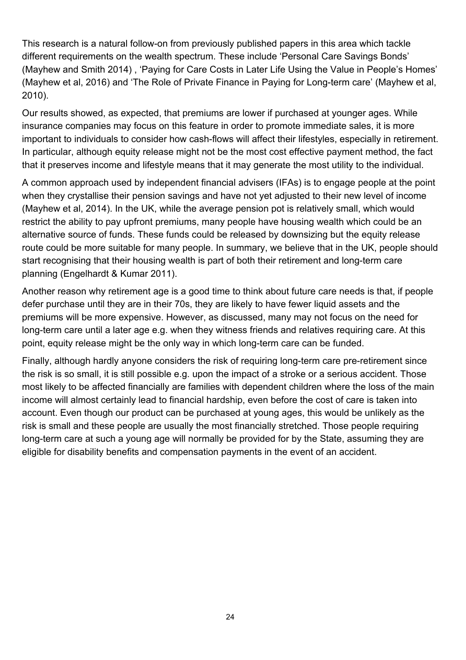This research is a natural follow-on from previously published papers in this area which tackle different requirements on the wealth spectrum. These include 'Personal Care Savings Bonds' (Mayhew and Smith 2014) , 'Paying for Care Costs in Later Life Using the Value in People's Homes' (Mayhew et al, 2016) and 'The Role of Private Finance in Paying for Long-term care' (Mayhew et al, 2010).

Our results showed, as expected, that premiums are lower if purchased at younger ages. While insurance companies may focus on this feature in order to promote immediate sales, it is more important to individuals to consider how cash-flows will affect their lifestyles, especially in retirement. In particular, although equity release might not be the most cost effective payment method, the fact that it preserves income and lifestyle means that it may generate the most utility to the individual.

A common approach used by independent financial advisers (IFAs) is to engage people at the point when they crystallise their pension savings and have not yet adjusted to their new level of income (Mayhew et al, 2014). In the UK, while the average pension pot is relatively small, which would restrict the ability to pay upfront premiums, many people have housing wealth which could be an alternative source of funds. These funds could be released by downsizing but the equity release route could be more suitable for many people. In summary, we believe that in the UK, people should start recognising that their housing wealth is part of both their retirement and long-term care planning (Engelhardt & Kumar 2011).

Another reason why retirement age is a good time to think about future care needs is that, if people defer purchase until they are in their 70s, they are likely to have fewer liquid assets and the premiums will be more expensive. However, as discussed, many may not focus on the need for long-term care until a later age e.g. when they witness friends and relatives requiring care. At this point, equity release might be the only way in which long-term care can be funded.

Finally, although hardly anyone considers the risk of requiring long-term care pre-retirement since the risk is so small, it is still possible e.g. upon the impact of a stroke or a serious accident. Those most likely to be affected financially are families with dependent children where the loss of the main income will almost certainly lead to financial hardship, even before the cost of care is taken into account. Even though our product can be purchased at young ages, this would be unlikely as the risk is small and these people are usually the most financially stretched. Those people requiring long-term care at such a young age will normally be provided for by the State, assuming they are eligible for disability benefits and compensation payments in the event of an accident.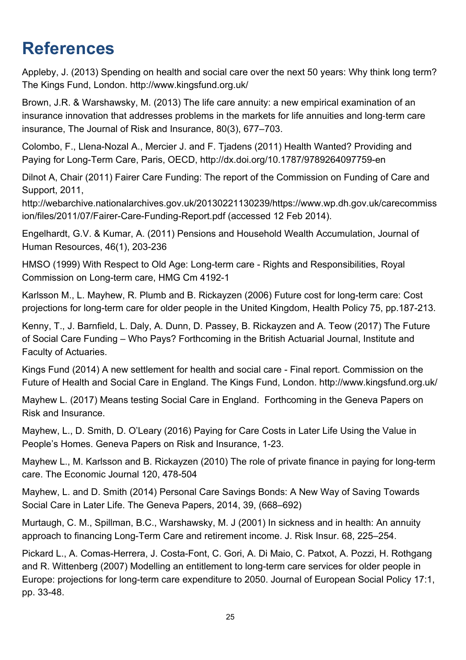## **References**

Appleby, J. (2013) Spending on health and social care over the next 50 years: Why think long term? The Kings Fund, London. http://www.kingsfund.org.uk/

Brown, J.R. & Warshawsky, M. (2013) The life care annuity: a new empirical examination of an insurance innovation that addresses problems in the markets for life annuities and long-term care insurance, The Journal of Risk and Insurance, 80(3), 677–703.

Colombo, F., Llena-Nozal A., Mercier J. and F. Tjadens (2011) Health Wanted? Providing and Paying for Long-Term Care, Paris, OECD, http://dx.doi.org/10.1787/9789264097759-en

Dilnot A, Chair (2011) Fairer Care Funding: The report of the Commission on Funding of Care and Support, 2011,

http://webarchive.nationalarchives.gov.uk/20130221130239/https://www.wp.dh.gov.uk/carecommiss ion/files/2011/07/Fairer-Care-Funding-Report.pdf (accessed 12 Feb 2014).

Engelhardt, G.V. & Kumar, A. (2011) Pensions and Household Wealth Accumulation, Journal of Human Resources, 46(1), 203-236

HMSO (1999) With Respect to Old Age: Long-term care - Rights and Responsibilities, Royal Commission on Long-term care, HMG Cm 4192-1

Karlsson M., L. Mayhew, R. Plumb and B. Rickayzen (2006) Future cost for long-term care: Cost projections for long-term care for older people in the United Kingdom, Health Policy 75, pp.187-213.

Kenny, T., J. Barnfield, L. Daly, A. Dunn, D. Passey, B. Rickayzen and A. Teow (2017) The Future of Social Care Funding – Who Pays? Forthcoming in the British Actuarial Journal, Institute and Faculty of Actuaries.

Kings Fund (2014) A new settlement for health and social care - Final report. Commission on the Future of Health and Social Care in England. The Kings Fund, London. http://www.kingsfund.org.uk/

Mayhew L. (2017) Means testing Social Care in England. Forthcoming in the Geneva Papers on Risk and Insurance.

Mayhew, L., D. Smith, D. O'Leary (2016) Paying for Care Costs in Later Life Using the Value in People's Homes. Geneva Papers on Risk and Insurance, 1-23.

Mayhew L., M. Karlsson and B. Rickayzen (2010) The role of private finance in paying for long-term care. The Economic Journal 120, 478-504

Mayhew, L. and D. Smith (2014) Personal Care Savings Bonds: A New Way of Saving Towards Social Care in Later Life. The Geneva Papers, 2014, 39, (668–692)

Murtaugh, C. M., Spillman, B.C., Warshawsky, M. J (2001) In sickness and in health: An annuity approach to financing Long-Term Care and retirement income. J. Risk Insur. 68, 225–254.

Pickard L., A. Comas-Herrera, J. Costa-Font, C. Gori, A. Di Maio, C. Patxot, A. Pozzi, H. Rothgang and R. Wittenberg (2007) Modelling an entitlement to long-term care services for older people in Europe: projections for long-term care expenditure to 2050. Journal of European Social Policy 17:1, pp. 33-48.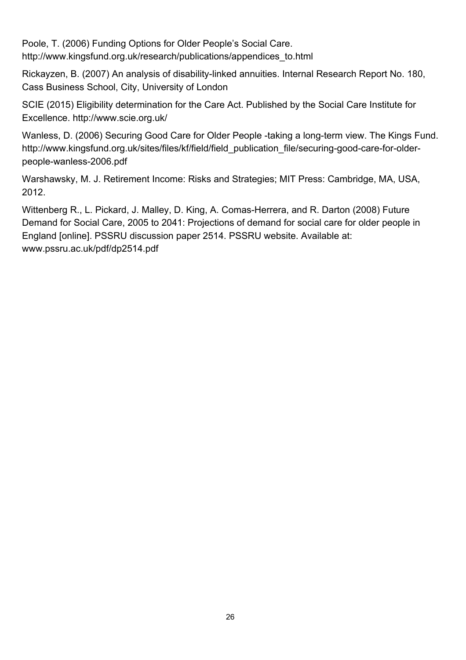Poole, T. (2006) Funding Options for Older People's Social Care. http://www.kingsfund.org.uk/research/publications/appendices\_to.html

Rickayzen, B. (2007) An analysis of disability-linked annuities. Internal Research Report No. 180, Cass Business School, City, University of London

SCIE (2015) Eligibility determination for the Care Act. Published by the Social Care Institute for Excellence. http://www.scie.org.uk/

Wanless, D. (2006) Securing Good Care for Older People -taking a long-term view. The Kings Fund. http://www.kingsfund.org.uk/sites/files/kf/field/field publication file/securing-good-care-for-olderpeople-wanless-2006.pdf

Warshawsky, M. J. Retirement Income: Risks and Strategies; MIT Press: Cambridge, MA, USA, 2012.

Wittenberg R., L. Pickard, J. Malley, D. King, A. Comas-Herrera, and R. Darton (2008) Future Demand for Social Care, 2005 to 2041: Projections of demand for social care for older people in England [online]. PSSRU discussion paper 2514. PSSRU website. Available at: www.pssru.ac.uk/pdf/dp2514.pdf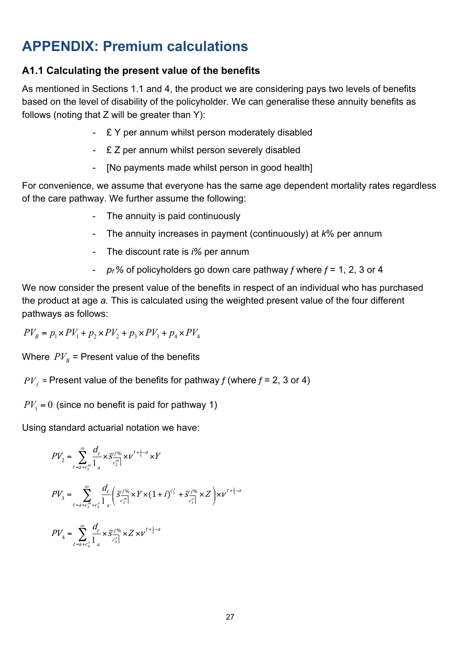### **APPENDIX: Premium calculations**

#### **A1.1 Calculating the present value of the benefits**

As mentioned in Sections 1.1 and 4, the product we are considering pays two levels of benefits based on the level of disability of the policyholder. We can generalise these annuity benefits as follows (noting that Z will be greater than Y):

- £ Y per annum whilst person moderately disabled
- £ Z per annum whilst person severely disabled
- [No payments made whilst person in good health]

For convenience, we assume that everyone has the same age dependent mortality rates regardless of the care pathway. We further assume the following:

- The annuity is paid continuously
- The annuity increases in payment (continuously) at *k*% per annum
- The discount rate is *i%* per annum
- *pf %* of policyholders go down care pathway *f* where *f* = 1, 2, 3 or 4

We now consider the present value of the benefits in respect of an individual who has purchased the product at age *a.* This is calculated using the weighted present value of the four different pathways as follows:

 $PV_{B} = p_{1} \times PV_{1} + p_{2} \times PV_{2} + p_{3} \times PV_{3} + p_{4} \times PV_{4}$ 

Where  $PV_{B}$  = Present value of the benefits

 $PV_f$  = Present value of the benefits for pathway *f* (where  $f = 2$ , 3 or 4)

 $PV_1 = 0$  (since no benefit is paid for pathway 1)

Using standard actuarial notation we have:

$$
PV_{2} = \sum_{t=a+c_{2}^{m}}^{\infty} \frac{d_{t}}{1_{a}} \times \overline{S}^{\frac{j\%}{C_{2}^{m}}}\times V^{t+\frac{1}{2}-a} \times Y
$$
  
\n
$$
PV_{3} = \sum_{t=a+c_{3}^{m}+c_{3}^{s}}^{\infty} \frac{d_{t}}{1_{a}} \left(\overline{S}^{\frac{j\%}{C_{3}^{m}}}\times Y \times (1+i)^{c_{3}^{s}} + \overline{S}^{\frac{j\%}{C_{3}^{s}}}\times Z\right) \times V^{t+\frac{1}{2}-a}
$$
  
\n
$$
PV_{4} = \sum_{t=a+c_{4}^{s}}^{\infty} \frac{d_{t}}{1_{a}} \times \overline{S}^{\frac{j\%}{C_{3}^{s}}}\times Z \times V^{t+\frac{1}{2}-a}
$$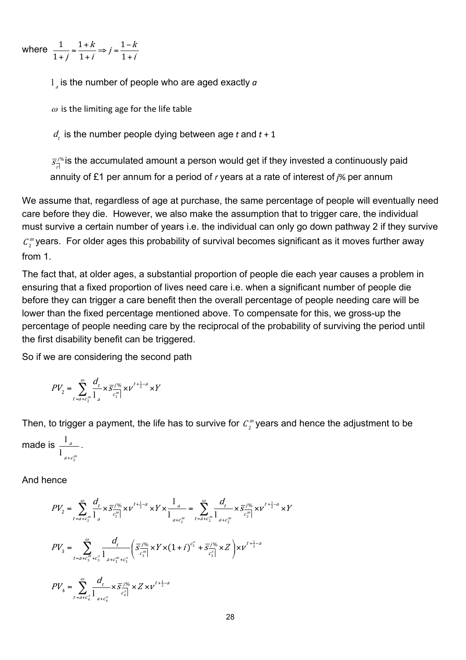where  $\frac{1}{1} = \frac{1+k}{1} \Rightarrow j = \frac{1}{1}$  $\frac{1}{1+j} = \frac{1+k}{1+i} \Rightarrow j = \frac{1-k}{1+i}$ 

 $\frac{1}{a}$  is the number of people who are aged exactly  $a$ 

 $\omega$  is the limiting age for the life table

 $d_t$  is the number people dying between age *t* and  $t + 1$ 

 $\bar{z}_{\overline{\mathbb{A}}}^{\mathcal{I}\%}$ is the accumulated amount a person would get if they invested a continuously paid annuity of £1 per annum for a period of *r* years at a rate of interest of *j*% per annum

We assume that, regardless of age at purchase, the same percentage of people will eventually need care before they die. However, we also make the assumption that to trigger care, the individual must survive a certain number of years i.e. the individual can only go down pathway 2 if they survive  ${\mathcal C}^{\,m}_2$ years. For older ages this probability of survival becomes significant as it moves further away from 1.

The fact that, at older ages, a substantial proportion of people die each year causes a problem in ensuring that a fixed proportion of lives need care i.e. when a significant number of people die before they can trigger a care benefit then the overall percentage of people needing care will be lower than the fixed percentage mentioned above. To compensate for this, we gross-up the percentage of people needing care by the reciprocal of the probability of surviving the period until the first disability benefit can be triggered.

So if we are considering the second path

$$
PV_{2} = \sum_{t=a+c_{2}^{m}} \frac{d_{t}}{1 - e^{m}} \times \overline{S}^{\frac{j\%}{2}}_{c_{2}^{m}} \times v^{t+\frac{1}{2}-a} \times Y
$$

Then, to trigger a payment, the life has to survive for  $\,mathcal{C}^{\,m}_2$ years and hence the adjustment to be

$$
\text{made is } \frac{l_a}{l_{a+c_2^m}}.
$$

And hence

$$
PV_{2} = \sum_{t=a+c_{2}^{m}}^{\omega} \frac{d_{t}}{1_{a}} \times \overline{s}^{\frac{j\%}{c_{2}^{m}}}\times V^{t+\frac{1}{2}-a} \times Y \times \frac{1_{a}}{1_{a+c_{2}^{m}}} = \sum_{t=a+c_{2}^{m}}^{\omega} \frac{d_{t}}{1_{a+c_{2}^{m}}}\times \overline{s}^{\frac{j\%}{c_{2}^{m}}}\times V^{t+\frac{1}{2}-a} \times Y
$$
  
\n
$$
PV_{3} = \sum_{t=a+c_{3}^{m}}^{\omega} \frac{d_{t}}{1_{a+c_{3}^{m}}}\left(\overline{s}^{\frac{j\%}{c_{3}^{m}}}\times Y \times (1+i)^{c_{3}^{s}} + \overline{s}^{\frac{j\%}{c_{3}^{s}}}\times Z\right) \times V^{t+\frac{1}{2}-a}
$$
  
\n
$$
PV_{4} = \sum_{t=a+c_{4}^{s}}^{\omega} \frac{d_{t}}{1_{a+c_{4}^{s}}}\times \overline{s}^{\frac{j\%}{c_{4}^{s}}}\times Z \times V^{t+\frac{1}{2}-a}
$$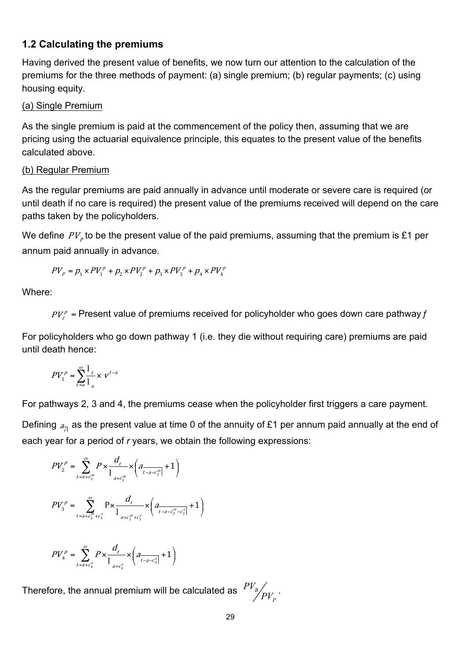#### **1.2 Calculating the premiums**

Having derived the present value of benefits, we now turn our attention to the calculation of the premiums for the three methods of payment: (a) single premium; (b) regular payments; (c) using housing equity.

#### (a) Single Premium

As the single premium is paid at the commencement of the policy then, assuming that we are pricing using the actuarial equivalence principle, this equates to the present value of the benefits calculated above.

#### (b) Regular Premium

As the regular premiums are paid annually in advance until moderate or severe care is required (or until death if no care is required) the present value of the premiums received will depend on the care paths taken by the policyholders.

We define  $PV_p$  to be the present value of the paid premiums, assuming that the premium is £1 per annum paid annually in advance.

$$
PV_{p} = p_{1} \times PV_{1}^{p} + p_{2} \times PV_{2}^{p} + p_{3} \times PV_{3}^{p} + p_{4} \times PV_{4}^{p}
$$

Where:

 $PV_{\ell}^p$  = Present value of premiums received for policyholder who goes down care pathway  $f$ 

For policyholders who go down pathway 1 (i.e. they die without requiring care) premiums are paid until death hence:

$$
PV_1^p = \sum_{t=a}^{\omega} \frac{1}{1} \times v^{t-a}
$$

For pathways 2, 3 and 4, the premiums cease when the policyholder first triggers a care payment.

Defining  $a_{\overline{A}}$  as the present value at time 0 of the annuity of £1 per annum paid annually at the end of each year for a period of *r* years, we obtain the following expressions:

$$
PV_2^P = \sum_{t=a+c_2^m}^{\omega} P \times \frac{d_t}{1_{a+c_2^m}} \times \left( a_{t-a-c_2^m} + 1 \right)
$$
  
\n
$$
PV_3^P = \sum_{t=a+c_3^m+c_3^s}^{\omega} \frac{1}{1_{a+c_3^m+c_3^s}} \times \left( a_{t-a-c_3^m-c_3^s} + 1 \right)
$$
  
\n
$$
PV_4^P = \sum_{t=a+c_4^s}^{\omega} P \times \frac{d_t}{1_{a+c_4^s}} \times \left( a_{t-a-c_4^s} + 1 \right)
$$

Therefore, the annual premium will be calculated as

 $\frac{1}{a+c_4^s}$   $\frac{1}{a+c_4^s}$   $\left\{ \begin{array}{c} t-a-1 \\ t-a \end{array} \right.$ 

 $t=a+c_a^s$   $1$   $t-a-c$ 

 $p$   $\mathbf{v}$   $\mathbf{n}$ .  $\mathbf{v}$ 

 $PV_{\cdot}^{\rho}$  =  $\sum_{r} P \times \frac{1}{r} \times |r|$ 

$$
PV_{B}\not/_{PV_{P}}.
$$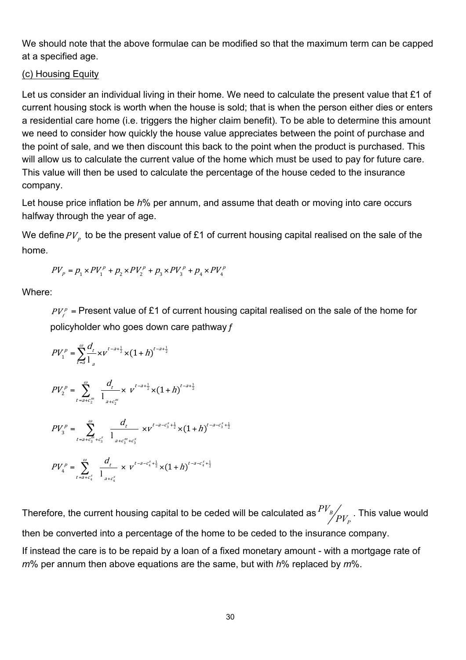We should note that the above formulae can be modified so that the maximum term can be capped at a specified age.

#### (c) Housing Equity

Let us consider an individual living in their home. We need to calculate the present value that £1 of current housing stock is worth when the house is sold; that is when the person either dies or enters a residential care home (i.e. triggers the higher claim benefit). To be able to determine this amount we need to consider how quickly the house value appreciates between the point of purchase and the point of sale, and we then discount this back to the point when the product is purchased. This will allow us to calculate the current value of the home which must be used to pay for future care. This value will then be used to calculate the percentage of the house ceded to the insurance company.

Let house price inflation be *h*% per annum, and assume that death or moving into care occurs halfway through the year of age.

We define  $PV_p$  to be the present value of £1 of current housing capital realised on the sale of the home.

$$
PV_{p} = p_{1} \times PV_{1}^{p} + p_{2} \times PV_{2}^{p} + p_{3} \times PV_{3}^{p} + p_{4} \times PV_{4}^{p}
$$

Where:

 $PV<sub>f</sub><sup>p</sup>$  = Present value of £1 of current housing capital realised on the sale of the home for policyholder who goes down care pathway *f*

$$
PV_{1}^{p} = \sum_{t=a}^{\omega} \frac{d_{t}}{l_{a}} \times v^{t-a+\frac{1}{2}} \times (1+h)^{t-a+\frac{1}{2}}
$$
\n
$$
PV_{2}^{p} = \sum_{t=a+c_{2}^{m}}^{\omega} \frac{d_{t}}{l_{a+c_{2}^{m}}} \times v^{t-a+\frac{1}{2}} \times (1+h)^{t-a+\frac{1}{2}}
$$
\n
$$
PV_{3}^{p} = \sum_{t=a+c_{3}^{m}+c_{3}^{s}}^{\omega} \frac{d_{t}}{l_{a+c_{3}^{m}+c_{3}^{s}}} \times v^{t-a-c_{3}^{s}+\frac{1}{2}} \times (1+h)^{t-a-c_{3}^{s}+\frac{1}{2}}
$$
\n
$$
PV_{4}^{p} = \sum_{t=a+c_{4}^{s}}^{\omega} \frac{d_{t}}{l_{a+c_{4}^{s}}} \times v^{t-a-c_{4}^{s}+\frac{1}{2}} \times (1+h)^{t-a-c_{4}^{s}+\frac{1}{2}}
$$

Therefore, the current housing capital to be ceded will be calculated as  $^{F \nu_B}$ *P*  $\frac{PV_{_B}}{PV_{_P}}$  . This value would then be converted into a percentage of the home to be ceded to the insurance company.

If instead the care is to be repaid by a loan of a fixed monetary amount - with a mortgage rate of *m*% per annum then above equations are the same, but with *h*% replaced by *m*%.